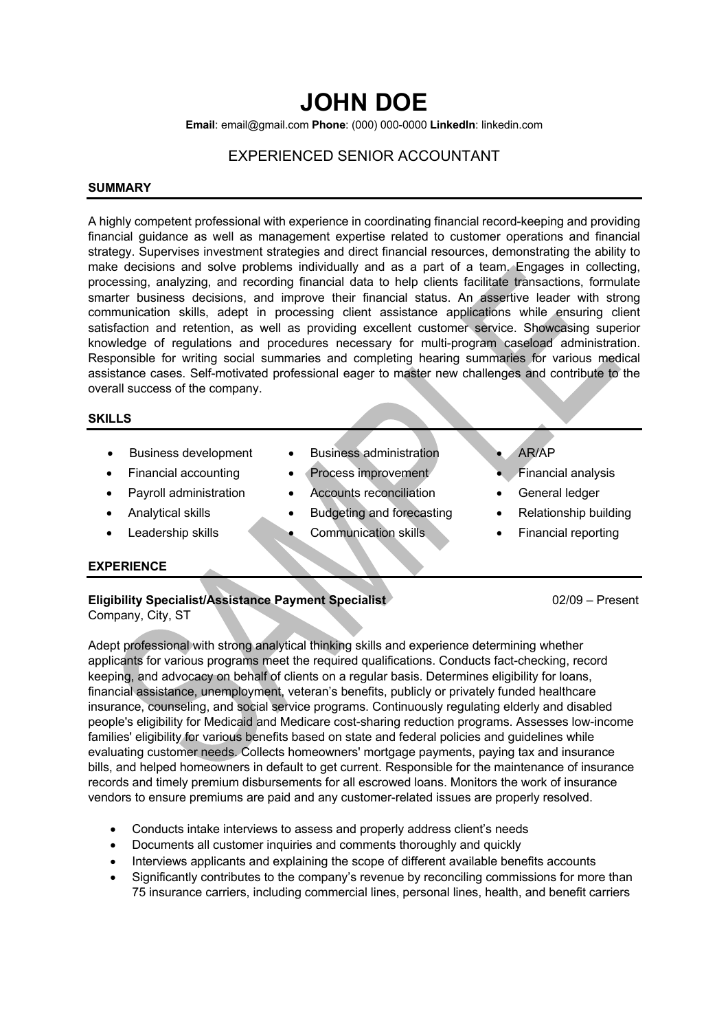# **JOHN DOE**

**Email**: email@gmail.com **Phone**: (000) 000-0000 **LinkedIn**: linkedin.com

# EXPERIENCED SENIOR ACCOUNTANT

#### **SUMMARY**

A highly competent professional with experience in coordinating financial record-keeping and providing financial guidance as well as management expertise related to customer operations and financial strategy. Supervises investment strategies and direct financial resources, demonstrating the ability to make decisions and solve problems individually and as a part of a team. Engages in collecting, processing, analyzing, and recording financial data to help clients facilitate transactions, formulate smarter business decisions, and improve their financial status. An assertive leader with strong communication skills, adept in processing client assistance applications while ensuring client satisfaction and retention, as well as providing excellent customer service. Showcasing superior knowledge of regulations and procedures necessary for multi-program caseload administration. Responsible for writing social summaries and completing hearing summaries for various medical assistance cases. Self-motivated professional eager to master new challenges and contribute to the overall success of the company.

#### **SKILLS**

- 
- 
- 
- 
- 
- Business development Business administration AR/AP
- **Financial accounting Process improvement Financial analysis** 
	- **Payroll administration** Accounts reconciliation General ledger
	- Analytical skills Budgeting and forecasting Relationship building
	- **Leadership skills Communication skills Financial reporting**
- 
- 
- 
- 
- 

## **EXPERIENCE**

# **Eligibility Specialist/Assistance Payment Specialist COMPANY** 02/09 – Present Company, City, ST

Adept professional with strong analytical thinking skills and experience determining whether applicants for various programs meet the required qualifications. Conducts fact-checking, record keeping, and advocacy on behalf of clients on a regular basis. Determines eligibility for loans, financial assistance, unemployment, veteran's benefits, publicly or privately funded healthcare insurance, counseling, and social service programs. Continuously regulating elderly and disabled people's eligibility for Medicaid and Medicare cost-sharing reduction programs. Assesses low-income families' eligibility for various benefits based on state and federal policies and guidelines while evaluating customer needs. Collects homeowners' mortgage payments, paying tax and insurance bills, and helped homeowners in default to get current. Responsible for the maintenance of insurance records and timely premium disbursements for all escrowed loans. Monitors the work of insurance vendors to ensure premiums are paid and any customer-related issues are properly resolved.

- Conducts intake interviews to assess and properly address client's needs
- Documents all customer inquiries and comments thoroughly and quickly
- Interviews applicants and explaining the scope of different available benefits accounts
- Significantly contributes to the company's revenue by reconciling commissions for more than 75 insurance carriers, including commercial lines, personal lines, health, and benefit carriers